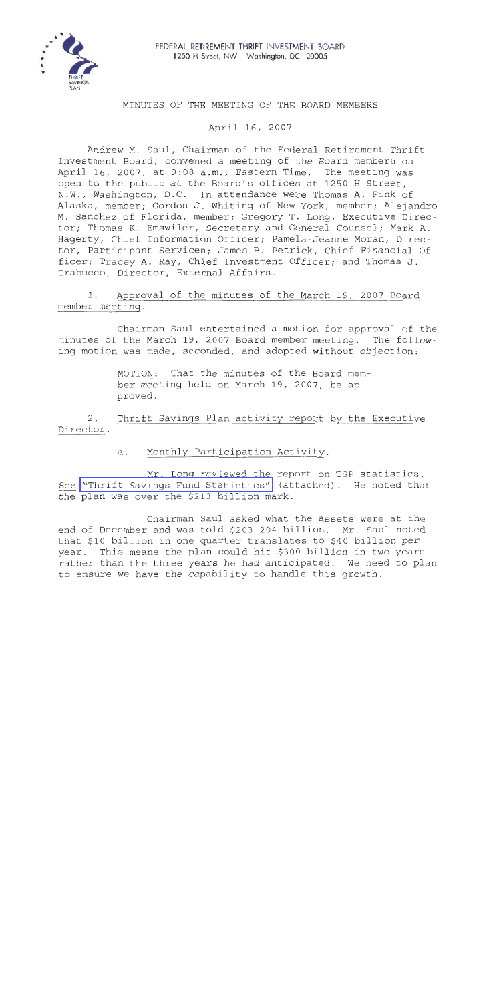

## MINUTES OF THE MEETING OF THE BOARD MEMBERS

April 16, 2007

Andrew M. Saul, Chairman of the Federal Retirement Thrift Investment Board, convened a meeting of the Board members on April 16, 2007, at 9:08 a.m., Eastern Time. The meeting was open to the public at the Board's offices at 1250 H Street, N.W., Washington, D.C. In attendance were Thomas A. Fink of Alaska, member; Gordon J. Whiting of New York, member; Alejandro M. Sanchez of Florida, member; Gregory T. Long, Executive Director; Thomas K. Emswiler, Secretary and General Counsel; Mark A. Hagerty, Chief Information Officer; Pamela-Jeanne Moran, Director, Participant Services; James B. Petrick, Chief Financial Officer; Tracey A. Ray, Chief Investment Officer; and Thomas J. Trabucco, Director, External Affairs.

1. Approval of the minutes of the March 19, 2007 Board member meetinq.

Chairman Saul entertained a motion for approval of the minutes of the March 19, 2007 Board member meeting. The following motion was made, seconded, and adopted without objection:

> MOTION: That the minutes of the Board member meeting held on March 19, 2007, be approved.

*L.*  Director. Thrift Savings Plan activity report by the Executive

a. Monthly Participation Activity.

Mr. Long reviewed the report on TSP statistics. See ["Thrift Savings Fund Statistics"](MM-2007Apr-Att1.pdf) (attached). He noted that the plan was over the \$213 billion mark.

Chairman Saul asked what the assets were at the end of December and was told \$203-204 billion. Mr. Saul noted that \$10 billion in one quarter translates to \$40 billion per year. This means the plan could hit \$300 billion in two years rather than the three years he had anticipated. We need to plan to ensure we have the capability to handle this growth.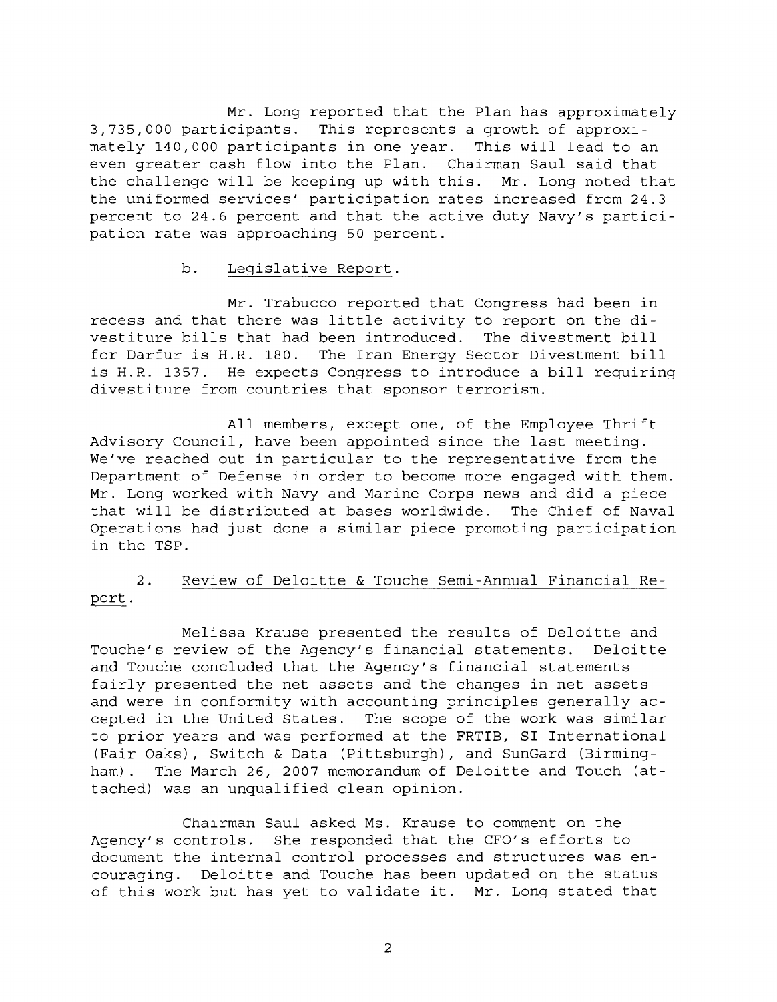Mr. Long reported that the Plan has approximately 3,735,000 participants. This represents a growth of approximately 140,000 participants in one year. This will lead to an even greater cash flow into the Plan. Chairman Saul said that the challenge will be keeping up with this. Mr. Long noted that the uniformed services' participation rates increased from 24.3 percent to 24.6 percent and that the active duty Navy's participation rate was approaching 50 percent.

## b. Legislative Report.

Mr. Trabucco reported that Congress had been in recess and that there was little activity to report on the divestiture bills that had been introduced. The divestment bill for Darfur is H.R. 180. The Iran Energy Sector Divestment bill is H.R. 1357. He expects Congress to introduce a bill requiring divestiture from countries that sponsor terrorism.

All members, except one, of the Employee Thrift Advisory Council, have been appointed since the last meeting. We've reached out in particular to the representative from the Department of Defense in order to become more engaged with them. Mr. Long worked with Navy and Marine Corps news and did a piece that will be distributed at bases worldwide. The Chief of Naval Operations had just done a similar piece promoting participation in the TSP.

## 2. Review of Deloitte & Touche Semi-Annual Financial Report.

Melissa Krause presented the results of Deloitte and Touche's review of the Agency's financial statements. Deloitte and Touche concluded that the Agency's financial statements fairly presented the net assets and the changes in net assets and were in conformity with accounting principles generally accepted in the United States. The scope of the work was similar to prior years and was performed at the FRTIB, SI International (Fair Oaks), Switch & Data (Pittsburgh), and SunGard (Birmingham). The March 26, 2007 memorandum of Deloitte and Touch (attached) was an unqualified clean opinion.

Chairman Saul asked Ms. Krause to comment on the Agency's controls. She responded that the CFO's efforts to document the internal control processes and structures was encouraging. Deloitte and Touche has been updated on the status of this work but has yet to validate it. Mr. Long stated that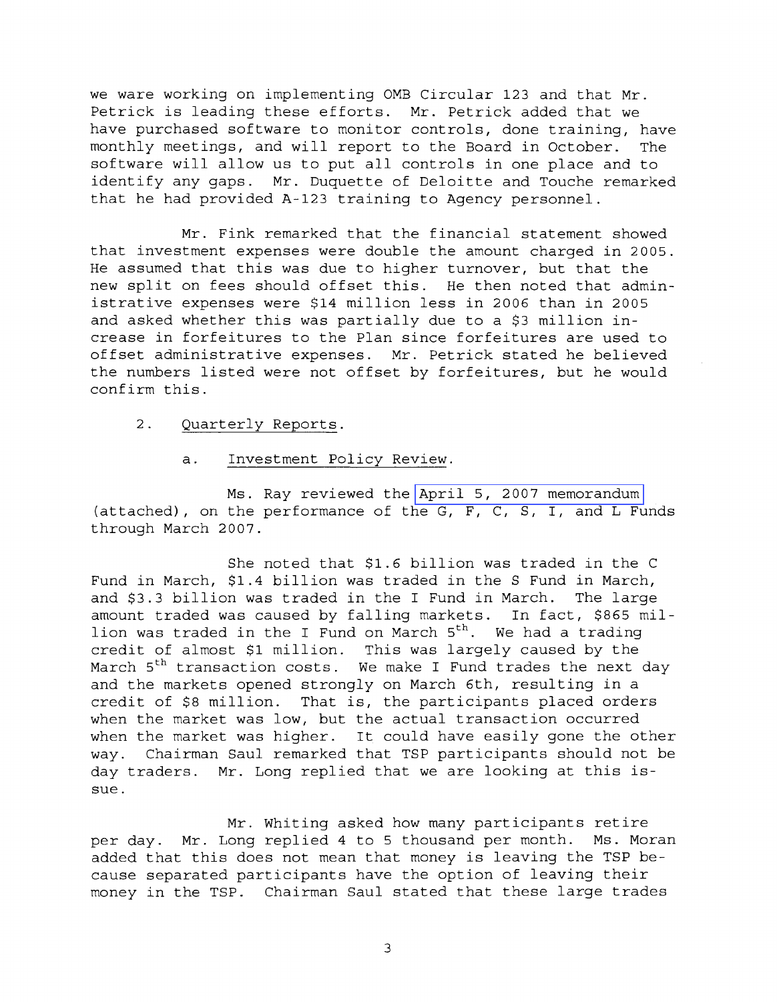we ware working on implementing OMB Circular 123 and that Mr. Petrick is leading these efforts. Mr. Petrick added that we have purchased software to monitor controls, done training, have monthly meetings, and will report to the Board in October. The software will allow us to put all controls in one place and to identify any gaps. Mr. Duquette of Deloitte and Touche remarked that he had provided A-123 training to Agency personnel.

Mr. Fink remarked that the financial statement showed that investment expenses were double the amount charged in 2005. He assumed that this was due to higher turnover, but that the new split on fees should offset this. He then noted that administrative expenses were \$14 million less in 2006 than in 2005 and asked whether this was partially due to a \$3 million increase in forfeitures to the Plan since forfeitures are used to offset administrative expenses. Mr. Petrick stated he believed the numbers listed were not offset by forfeitures, but he would confirm this.

- 2. Quarterly Reports.
	- a. Investment Policy Review.

Ms. Ray reviewed the [April 5, 2007 memorandum](MM-2007Apr-Att2.pdf)  (attached) , on the performance of the G, F, C, S, I, and L Funds through March 2007.

She noted that \$1.6 billion was traded in the C Fund in March, \$1.4 billion was traded in the S Fund in March, and \$3.3 billion was traded in the I Fund in March. The large amount traded was caused by falling markets. In fact, \$865 million was traded in the I Fund on March  $5<sup>th</sup>$ . We had a trading credit of almost \$1 million. This was largely caused by the March 5<sup>th</sup> transaction costs. We make I Fund trades the next day and the markets opened strongly on March 6th, resulting in a credit of \$8 million. That is, the participants placed orders when the market was low, but the actual transaction occurred when the market was higher. It could have easily gone the other way. Chairman Saul remarked that TSP participants should not be day traders. Mr. Long replied that we are looking at this issue.

Mr. Whiting asked how many participants retire per day. Mr. Long replied 4 to 5 thousand per month. Ms. Moran added that this does not mean that money is leaving the TSP because separated participants have the option of leaving their money in the TSP. Chairman Saul stated that these large trades

 $\overline{3}$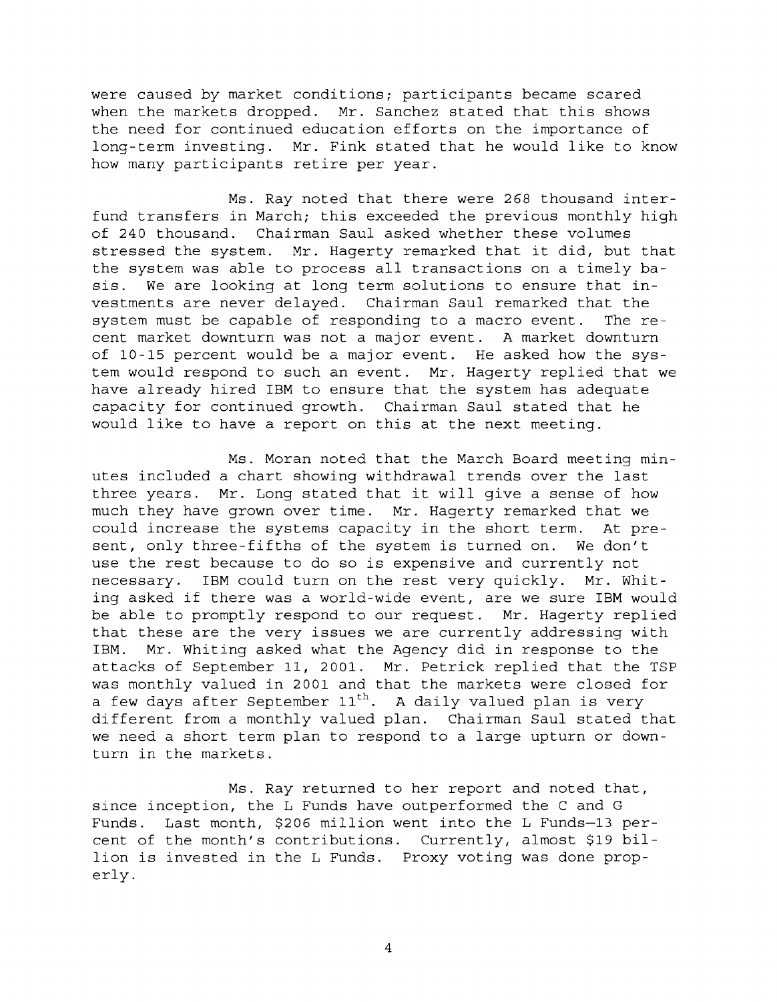were caused by market conditions; participants became scared when the markets dropped. Mr. Sanchez stated that this shows the need for continued education efforts on the importance of long-term investing. Mr. Fink stated that he would like to know how many participants retire per year.

Ms. Ray noted that there were 268 thousand interfund transfers in March; this exceeded the previous monthly high of 240 thousand. Chairman Saul asked whether these volumes stressed the system. Mr. Hagerty remarked that it did, but that the system was able to process all transactions on a timely basis. We are looking at long term solutions to ensure that investments are never delayed. Chairman Saul remarked that the system must be capable of responding to a macro event. The recent market downturn was not a major event. A market downturn of 10-15 percent would be a major event. He asked how the system would respond to such an event. Mr. Hagerty replied that we have already hired IBM to ensure that the system has adequate capacity for continued growth. Chairman Saul stated that he would like to have a report on this at the next meeting.

Ms. Moran noted that the March Board meeting minutes included a chart showing withdrawal trends over the last three years. Mr. Long stated that it will give a sense of how much they have grown over time. Mr. Hagerty remarked that we could increase the systems capacity in the short term. At present, only three-fifths of the system is turned on. We don't use the rest because to do so is expensive and currently not necessary. IBM could turn on the rest very quickly. Mr. Whiting asked if there was a world-wide event, are we sure IBM would be able to promptly respond to our request. Mr. Hagerty replied that these are the very issues we are currently addressing with IBM. Mr. Whiting asked what the Agency did in response to the attacks of September 11, 2001. Mr. Petrick replied that the TSP was monthly valued in 2001 and that the markets were closed for a few days after September  $11^{th}$ . A daily valued plan is very different from a monthly valued plan. Chairman Saul stated that we need a short term plan to respond to a large upturn or downturn in the markets.

Ms. Ray returned to her report and noted that, since inception, the L Funds have outperformed the C and G Funds. Last month, \$206 million went into the L Funds-13 percent of the month's contributions. Currently, almost \$19 billion is invested in the L Funds. Proxy voting was done properly.

 $\overline{4}$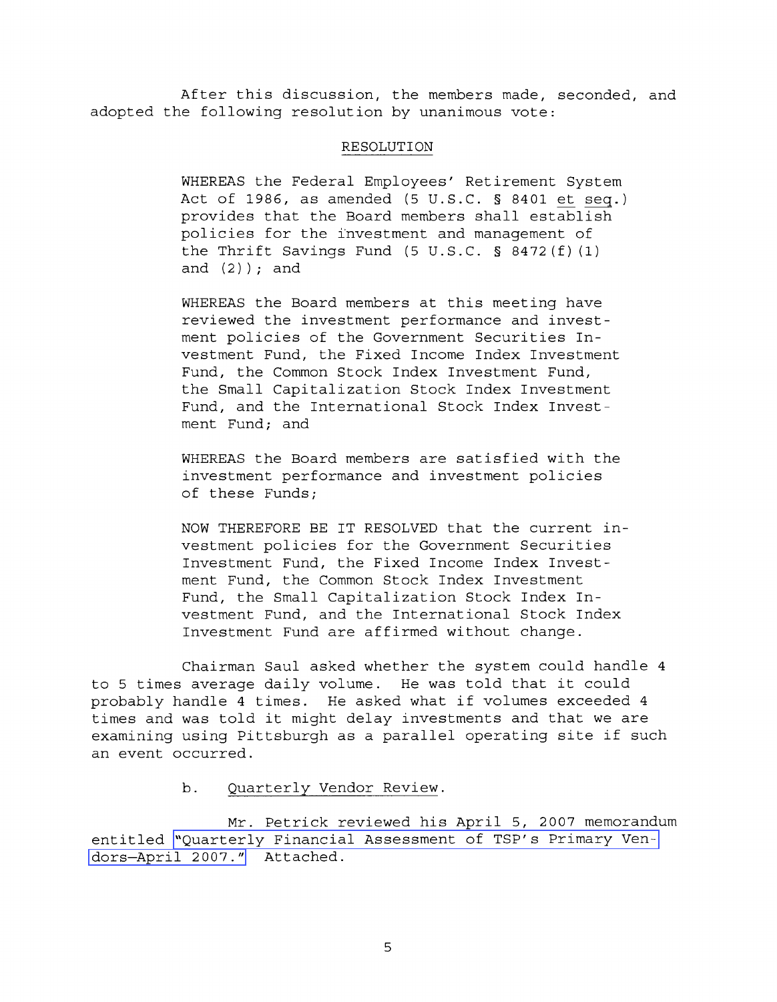After this discussion, the members made, seconded, and adopted the following resolution by unanimous vote:

## RESOLUTION

WHEREAS the Federal Employees' Retirement System RESOLUTION<br>WHEREAS the Federal Employees' Retirement System<br>Act of 1986, as amended (5 U.S.C. § 8401 <u>et seq</u>.)<br>provides that the Board members shall establish Act of 1986, as amended  $(5 \text{ U.S.C. }$  \$ 8401 et seq.) provides that the Board members shall establish policies for the i'nvestment and management of the Thrift Savings Fund (5 U.S.C. **5** 8472 (f) (1) and  $(2)$  ); and

WHEREAS the Board members at this meeting have reviewed the investment performance and investment policies of the Government Securities Investment Fund, the Fixed Income Index Investment Fund, the Common Stock Index Investment Fund, the Small Capitalization Stock Index Investment Fund, and the International Stock Index Investment Fund; and

WHEREAS the Board members are satisfied with the investment performance and investment policies of these Funds;

NOW THEREFORE BE IT RESOLVED that the current investment policies for the Government Securities Investment Fund, the Fixed Income Index Investment Fund, the Common Stock Index Investment Fund, the Small Capitalization Stock Index Investment Fund, and the International Stock Index Investment Fund are affirmed without change.

Chairman Saul asked whether the system could handle 4 to 5 times average daily volume. He was told that it could probably handle 4 times. He asked what if volumes exceeded 4 times and was told it might delay investments and that we are examining using Pittsburgh as a parallel operating site if such an event occurred.

b. Ouarterlv Vendor Review.

Mr. Petrick reviewed his April 5, 2007 memorandum entitled ["Quarterly Financial Assessment of TSP's Primary Ven](MM-2007Apr-Att3.pdf)[dors-April 2007."](MM-2007Apr-Att3.pdf) Attached.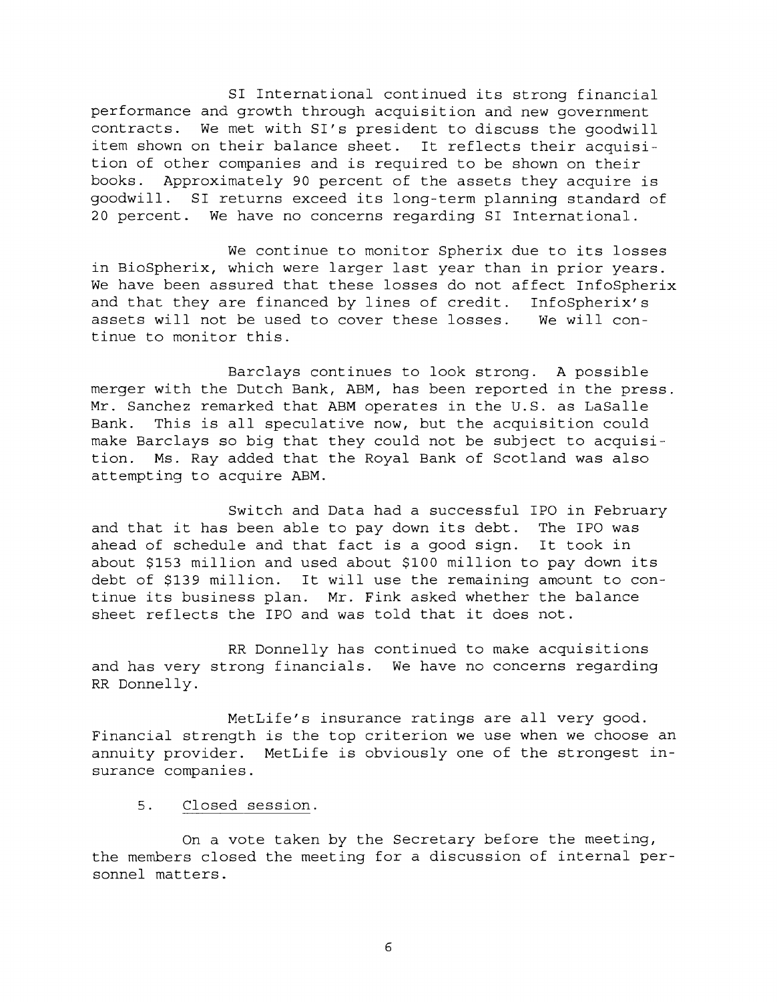SI International continued its strong financial performance and growth through acquisition and new government contracts. We met with SI's president to discuss the goodwill item shown on their balance sheet. It reflects their acquisition of other companies and is required to be shown on their books. Approximately 90 percent of the assets they acquire is goodwill. SI returns exceed its long-term planning standard of 20 percent. We have no concerns regarding SI International.

We continue to monitor Spherix due to its losses in BioSpherix, which were larger last year than in prior years. We have been assured that these losses do not affect InfoSpherix and that they are financed by lines of credit. InfoSpherix's assets will not be used to cover these losses. We will continue to monitor this.

Barclays continues to look strong. A possible merger with the Dutch Bank, ABM, has been reported in the press. Mr. Sanchez remarked that ABM operates in the U.S. as LaSalle Bank. This is all speculative now, but the acquisition could make Barclays so big that they could not be subject to acquisition. Ms. Ray added that the Royal Bank of Scotland was also attempting to acquire ABM.

Switch and Data had a successful IPO in February and that it has been able to pay down its debt. The IPO was ahead of schedule and that fact is a good sign. It took in about \$153 million and used about \$100 million to pay down its debt of \$139 million. It will use the remaining amount to continue its business plan. Mr. Fink asked whether the balance sheet reflects the IPO and was told that it does not.

RR Donnelly has continued to make acquisitions and has very strong financials. We have no concerns regarding RR Donnelly.

MetLife's insurance ratings are all very good. Financial strength is the top criterion we use when we choose an annuity provider. MetLife is obviously one of the strongest insurance companies.

5. Closed session.

On a vote taken by the Secretary before the meeting, the members closed the meeting for a discussion of internal personnel matters.

 $\epsilon$